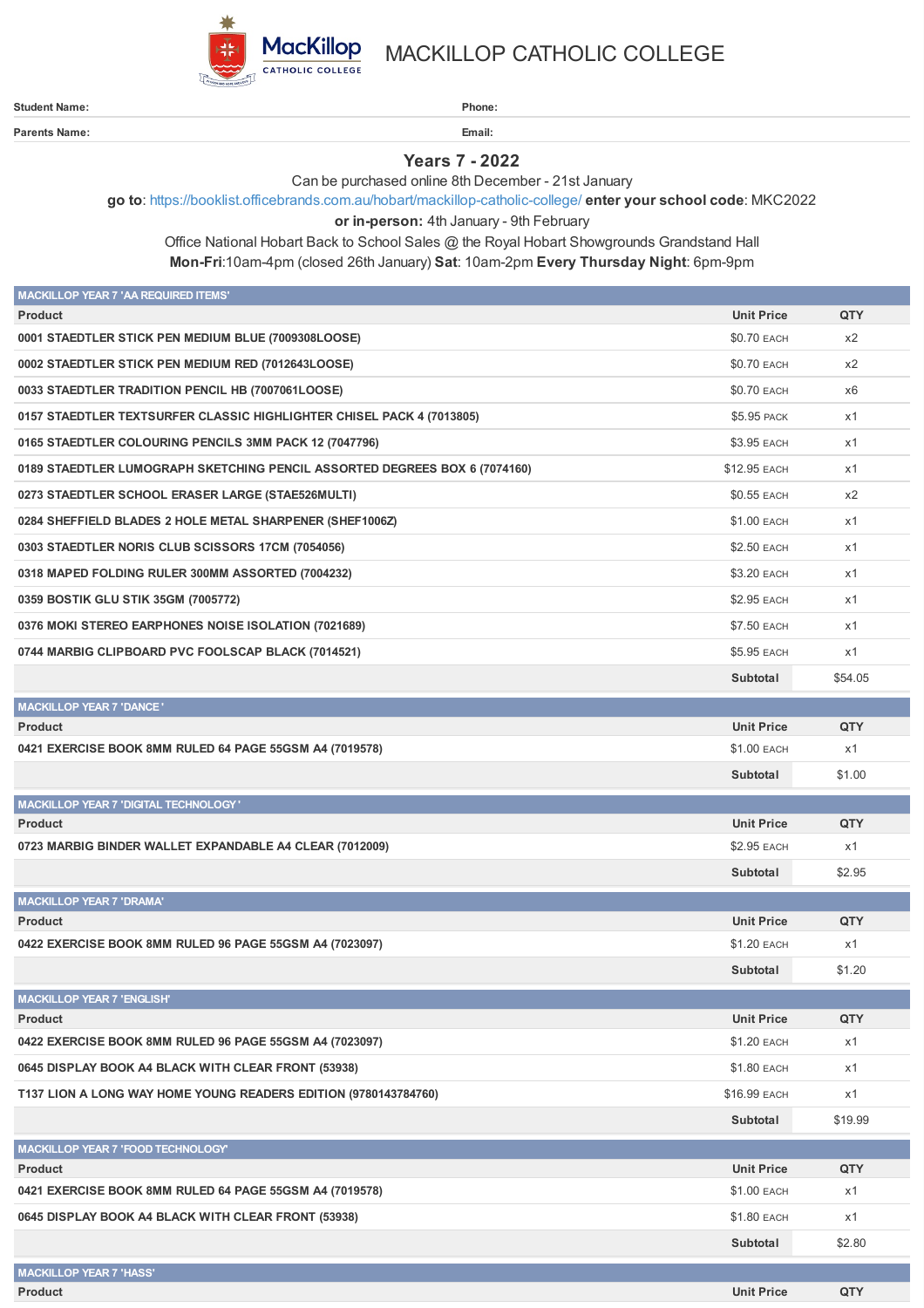

**Parents Name: Email:**

MACKILLOP CATHOLIC COLLEGE

**Student Name: Phone:**

**Years 7 - 2022**

Can be purchased online 8th December - 21st January

**go to**: <https://booklist.officebrands.com.au/hobart/mackillop-catholic-college/> **enter your school code**: MKC2022

**or in-person:** 4th January - 9th February

Office National Hobart Back to School Sales @ the Royal Hobart Showgrounds Grandstand Hall **Mon-Fri**:10am-4pm (closed 26th January) **Sat**: 10am-2pm **Every Thursday Night**: 6pm-9pm

| <b>MACKILLOP YEAR 7 'AA REQUIRED ITEMS'</b>                                |                    |         |
|----------------------------------------------------------------------------|--------------------|---------|
| <b>Product</b>                                                             | <b>Unit Price</b>  | QTY     |
| 0001 STAEDTLER STICK PEN MEDIUM BLUE (7009308LOOSE)                        | <b>\$0.70 EACH</b> | x2      |
| 0002 STAEDTLER STICK PEN MEDIUM RED (7012643LOOSE)                         | \$0.70 EACH        | x2      |
| 0033 STAEDTLER TRADITION PENCIL HB (7007061LOOSE)                          | \$0.70 EACH        | x6      |
| 0157 STAEDTLER TEXTSURFER CLASSIC HIGHLIGHTER CHISEL PACK 4 (7013805)      | \$5.95 PACK        | x1      |
| 0165 STAEDTLER COLOURING PENCILS 3MM PACK 12 (7047796)                     | \$3.95 EACH        | x1      |
| 0189 STAEDTLER LUMOGRAPH SKETCHING PENCIL ASSORTED DEGREES BOX 6 (7074160) | \$12.95 EACH       | x1      |
| 0273 STAEDTLER SCHOOL ERASER LARGE (STAE526MULTI)                          | \$0.55 EACH        | x2      |
| 0284 SHEFFIELD BLADES 2 HOLE METAL SHARPENER (SHEF1006Z)                   | \$1.00 EACH        | x1      |
| 0303 STAEDTLER NORIS CLUB SCISSORS 17CM (7054056)                          | \$2.50 EACH        | x1      |
| 0318 MAPED FOLDING RULER 300MM ASSORTED (7004232)                          | \$3.20 EACH        | x1      |
| 0359 BOSTIK GLU STIK 35GM (7005772)                                        | <b>\$2.95 EACH</b> | x1      |
| 0376 MOKI STEREO EARPHONES NOISE ISOLATION (7021689)                       | <b>\$7.50 EACH</b> | x1      |
| 0744 MARBIG CLIPBOARD PVC FOOLSCAP BLACK (7014521)                         | \$5.95 EACH        | x1      |
|                                                                            | Subtotal           | \$54.05 |
| <b>MACKILLOP YEAR 7 'DANCE'</b>                                            |                    |         |
| <b>Product</b>                                                             | <b>Unit Price</b>  | QTY     |
| 0421 EXERCISE BOOK 8MM RULED 64 PAGE 55GSM A4 (7019578)                    | \$1.00 EACH        | x1      |
|                                                                            | Subtotal           | \$1.00  |
| <b>MACKILLOP YEAR 7 'DIGITAL TECHNOLOGY'</b>                               |                    |         |
| <b>Product</b>                                                             | <b>Unit Price</b>  | QTY     |
| 0723 MARBIG BINDER WALLET EXPANDABLE A4 CLEAR (7012009)                    | \$2.95 EACH        | x1      |
|                                                                            | Subtotal           | \$2.95  |
| <b>MACKILLOP YEAR 7 'DRAMA'</b>                                            |                    |         |
| <b>Product</b>                                                             | <b>Unit Price</b>  | QTY     |
| 0422 EXERCISE BOOK 8MM RULED 96 PAGE 55GSM A4 (7023097)                    | \$1.20 EACH        | x1      |
|                                                                            | Subtotal           | \$1.20  |
| <b>MACKILLOP YEAR 7 'ENGLISH'</b>                                          |                    |         |
| <b>Product</b>                                                             | <b>Unit Price</b>  | QTY     |
| 0422 EXERCISE BOOK 8MM RULED 96 PAGE 55GSM A4 (7023097)                    | \$1.20 EACH        | x1      |
| 0645 DISPLAY BOOK A4 BLACK WITH CLEAR FRONT (53938)                        | \$1.80 EACH        | x1      |
| T137 LION A LONG WAY HOME YOUNG READERS EDITION (9780143784760)            | \$16.99 EACH       | x1      |
|                                                                            | Subtotal           | \$19.99 |
| MACKILLOP YEAR 7 'FOOD TECHNOLOGY'                                         |                    |         |
| <b>Product</b>                                                             | <b>Unit Price</b>  | QTY     |
| 0421 EXERCISE BOOK 8MM RULED 64 PAGE 55GSM A4 (7019578)                    | \$1.00 EACH        | x1      |
| 0645 DISPLAY BOOK A4 BLACK WITH CLEAR FRONT (53938)                        | \$1.80 EACH        | x1      |
|                                                                            | Subtotal           | \$2.80  |
| <b>MACKILLOP YEAR 7 'HASS'</b>                                             |                    |         |
| Product                                                                    | <b>Unit Price</b>  | QTY     |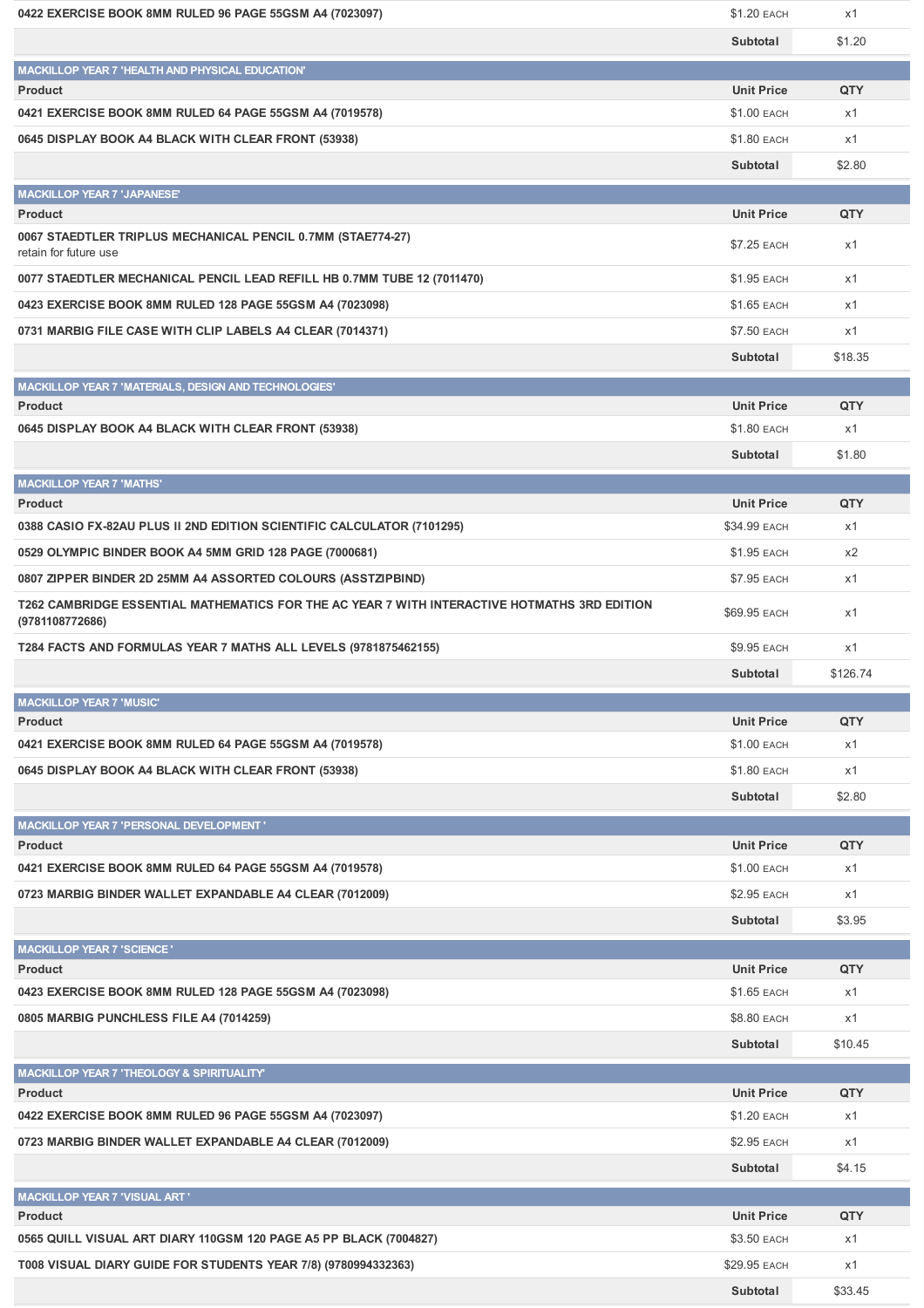| 0422 EXERCISE BOOK 8MM RULED 96 PAGE 55GSM A4 (7023097)                                                         | \$1.20 EACH        | x1         |
|-----------------------------------------------------------------------------------------------------------------|--------------------|------------|
|                                                                                                                 | Subtotal           | \$1.20     |
| MACKILLOP YEAR 7 'HEALTH AND PHYSICAL EDUCATION'                                                                |                    |            |
| <b>Product</b>                                                                                                  | <b>Unit Price</b>  | QTY        |
| 0421 EXERCISE BOOK 8MM RULED 64 PAGE 55GSM A4 (7019578)                                                         | \$1.00 EACH        | x1         |
| 0645 DISPLAY BOOK A4 BLACK WITH CLEAR FRONT (53938)                                                             | \$1.80 EACH        | x1         |
|                                                                                                                 | Subtotal           | \$2.80     |
| <b>MACKILLOP YEAR 7 'JAPANESE'</b>                                                                              |                    |            |
| <b>Product</b>                                                                                                  | <b>Unit Price</b>  | <b>QTY</b> |
| 0067 STAEDTLER TRIPLUS MECHANICAL PENCIL 0.7MM (STAE774-27)<br>retain for future use                            | \$7.25 EACH        | x1         |
| 0077 STAEDTLER MECHANICAL PENCIL LEAD REFILL HB 0.7MM TUBE 12 (7011470)                                         | \$1.95 EACH        | x1         |
| 0423 EXERCISE BOOK 8MM RULED 128 PAGE 55GSM A4 (7023098)                                                        | <b>\$1.65 EACH</b> | x1         |
| 0731 MARBIG FILE CASE WITH CLIP LABELS A4 CLEAR (7014371)                                                       | \$7.50 EACH        | x1         |
|                                                                                                                 | Subtotal           | \$18.35    |
| MACKILLOP YEAR 7 'MATERIALS, DESIGN AND TECHNOLOGIES'                                                           |                    |            |
| <b>Product</b>                                                                                                  | <b>Unit Price</b>  | QTY        |
| 0645 DISPLAY BOOK A4 BLACK WITH CLEAR FRONT (53938)                                                             | \$1.80 EACH        | x1         |
|                                                                                                                 | Subtotal           | \$1.80     |
| <b>MACKILLOP YEAR 7 'MATHS'</b>                                                                                 |                    |            |
| <b>Product</b>                                                                                                  | <b>Unit Price</b>  | QTY        |
| 0388 CASIO FX-82AU PLUS II 2ND EDITION SCIENTIFIC CALCULATOR (7101295)                                          | \$34.99 EACH       | x1         |
| 0529 OLYMPIC BINDER BOOK A4 5MM GRID 128 PAGE (7000681)                                                         | \$1.95 EACH        | x2         |
| 0807 ZIPPER BINDER 2D 25MM A4 ASSORTED COLOURS (ASSTZIPBIND)                                                    | \$7.95 EACH        | x1         |
| T262 CAMBRIDGE ESSENTIAL MATHEMATICS FOR THE AC YEAR 7 WITH INTERACTIVE HOTMATHS 3RD EDITION<br>(9781108772686) | \$69.95 EACH       | x1         |
|                                                                                                                 |                    |            |
|                                                                                                                 | \$9.95 EACH        | x1         |
| T284 FACTS AND FORMULAS YEAR 7 MATHS ALL LEVELS (9781875462155)                                                 |                    |            |
|                                                                                                                 | Subtotal           | \$126.74   |
| <b>MACKILLOP YEAR 7 'MUSIC'</b><br><b>Product</b>                                                               | <b>Unit Price</b>  | QTY        |
| 0421 EXERCISE BOOK 8MM RULED 64 PAGE 55GSM A4 (7019578)                                                         | \$1.00 EACH        | x1         |
| 0645 DISPLAY BOOK A4 BLACK WITH CLEAR FRONT (53938)                                                             | \$1.80 EACH        | x1         |
|                                                                                                                 | Subtotal           | \$2.80     |
|                                                                                                                 |                    |            |
| MACKILLOP YEAR 7 'PERSONAL DEVELOPMENT'<br><b>Product</b>                                                       | <b>Unit Price</b>  | QTY        |
| 0421 EXERCISE BOOK 8MM RULED 64 PAGE 55GSM A4 (7019578)                                                         | \$1.00 EACH        | x1         |
| 0723 MARBIG BINDER WALLET EXPANDABLE A4 CLEAR (7012009)                                                         | \$2.95 EACH        | x1         |
|                                                                                                                 | Subtotal           | \$3.95     |
|                                                                                                                 |                    |            |
| <b>MACKILLOP YEAR 7 'SCIENCE '</b><br><b>Product</b>                                                            | <b>Unit Price</b>  | QTY        |
| 0423 EXERCISE BOOK 8MM RULED 128 PAGE 55GSM A4 (7023098)                                                        | \$1.65 EACH        | x1         |
| 0805 MARBIG PUNCHLESS FILE A4 (7014259)                                                                         | \$8.80 EACH        | x1         |
|                                                                                                                 | Subtotal           | \$10.45    |
|                                                                                                                 |                    |            |
| MACKILLOP YEAR 7 'THEOLOGY & SPIRITUALITY'<br><b>Product</b>                                                    | <b>Unit Price</b>  | QTY        |
| 0422 EXERCISE BOOK 8MM RULED 96 PAGE 55GSM A4 (7023097)                                                         | \$1.20 EACH        | x1         |
| 0723 MARBIG BINDER WALLET EXPANDABLE A4 CLEAR (7012009)                                                         | \$2.95 EACH        | x1         |
|                                                                                                                 | Subtotal           | \$4.15     |
| <b>MACKILLOP YEAR 7 'VISUAL ART '</b>                                                                           |                    |            |
| <b>Product</b>                                                                                                  | <b>Unit Price</b>  | QTY        |
| 0565 QUILL VISUAL ART DIARY 110GSM 120 PAGE A5 PP BLACK (7004827)                                               | \$3.50 EACH        | x1         |
| T008 VISUAL DIARY GUIDE FOR STUDENTS YEAR 7/8) (9780994332363)                                                  | \$29.95 EACH       | x1         |